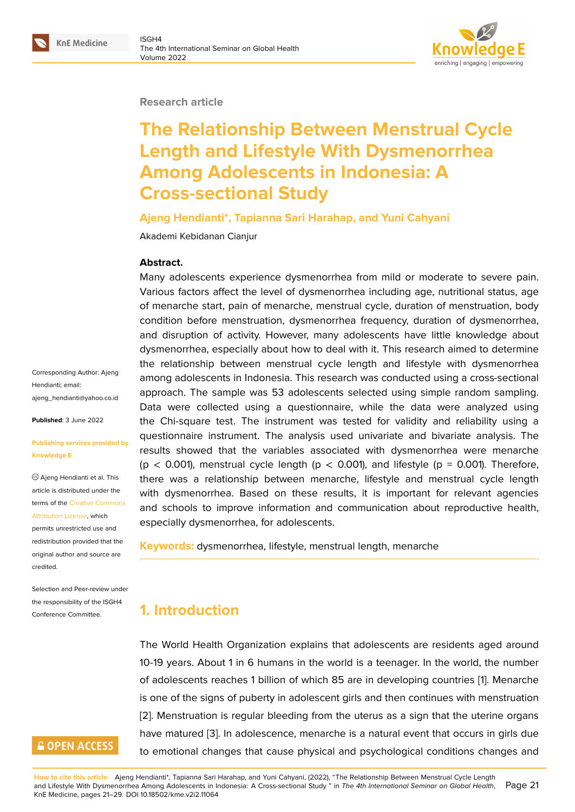#### **Research article**

# **The Relationship Between Menstrual Cycle Length and Lifestyle With Dysmenorrhea Among Adolescents in Indonesia: A Cross-sectional Study**

#### **Ajeng Hendianti\*, Tapianna Sari Harahap, and Yuni Cahyani**

Akademi Kebidanan Cianjur

#### **Abstract.**

Many adolescents experience dysmenorrhea from mild or moderate to severe pain. Various factors affect the level of dysmenorrhea including age, nutritional status, age of menarche start, pain of menarche, menstrual cycle, duration of menstruation, body condition before menstruation, dysmenorrhea frequency, duration of dysmenorrhea, and disruption of activity. However, many adolescents have little knowledge about dysmenorrhea, especially about how to deal with it. This research aimed to determine the relationship between menstrual cycle length and lifestyle with dysmenorrhea among adolescents in Indonesia. This research was conducted using a cross-sectional approach. The sample was 53 adolescents selected using simple random sampling. Data were collected using a questionnaire, while the data were analyzed using the Chi-square test. The instrument was tested for validity and reliability using a questionnaire instrument. The analysis used univariate and bivariate analysis. The results showed that the variables associated with dysmenorrhea were menarche  $(p < 0.001)$ , menstrual cycle length  $(p < 0.001)$ , and lifestyle  $(p = 0.001)$ . Therefore, there was a relationship between menarche, lifestyle and menstrual cycle length with dysmenorrhea. Based on these results, it is important for relevant agencies and schools to improve information and communication about reproductive health, especially dysmenorrhea, for adolescents.

**Keywords:** dysmenorrhea, lifestyle, menstrual length, menarche

# **1. Introduction**

The World Health Organization explains that adolescents are residents aged around 10-19 years. About 1 in 6 humans in the world is a teenager. In the world, the number of adolescents reaches 1 billion of which 85 are in developing countries [1]. Menarche is one of the signs of puberty in adolescent girls and then continues with menstruation [2]. Menstruation is regular bleeding from the uterus as a sign that the uterine organs have matured [3]. In adolescence, menarche is a natural event that occur[s](#page-7-0) in girls due to emotional changes that cause physical and psychological conditions changes and

Corresponding Author: Ajeng Hendianti; email: ajeng\_hendianti@yahoo.co.id

**Published**: 3 June 2022

#### **[Publishing services provided](mailto:ajeng_hendianti@yahoo.co.id) by Knowledge E**

Ajeng Hendianti et al. This article is distributed under the terms of the Creative Commons Attribution License, which

permits unrestricted use and redistribution provided that the original auth[or and source are](https://creativecommons.org/licenses/by/4.0/) [credited.](https://creativecommons.org/licenses/by/4.0/)

Selection and Peer-review under the responsibility of the ISGH4 Conference Committee.

# **GOPEN ACCESS**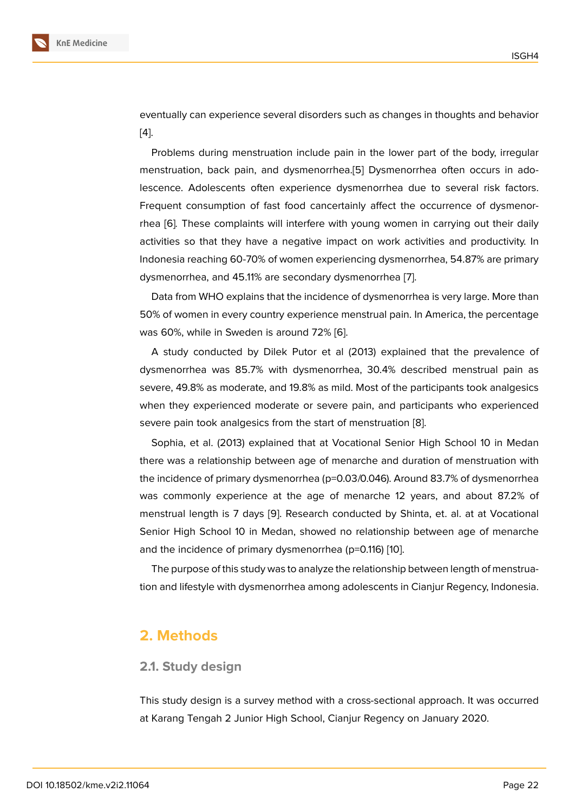eventually can experience several disorders such as changes in thoughts and behavior [4].

Problems during menstruation include pain in the lower part of the body, irregular menstruation, back pain, and dysmenorrhea.[5] Dysmenorrhea often occurs in adol[es](#page-7-2)cence. Adolescents often experience dysmenorrhea due to several risk factors. Frequent consumption of fast food cancertainly affect the occurrence of dysmenorrhea [6]*.* These complaints will interfere with [yo](#page-7-3)ung women in carrying out their daily activities so that they have a negative impact on work activities and productivity. In Indonesia reaching 60-70% of women experiencing dysmenorrhea, 54.87% are primary dysm[en](#page-7-4)orrhea, and 45.11% are secondary dysmenorrhea [7].

Data from WHO explains that the incidence of dysmenorrhea is very large. More than 50% of women in every country experience menstrual pain. In America, the percentage was 60%, while in Sweden is around 72% [6].

A study conducted by Dilek Putor et al (2013) explained that the prevalence of dysmenorrhea was 85.7% with dysmenorrhea, 30.4% described menstrual pain as severe, 49.8% as moderate, and 19.8% as [mil](#page-7-4)d. Most of the participants took analgesics when they experienced moderate or severe pain, and participants who experienced severe pain took analgesics from the start of menstruation [8].

Sophia, et al. (2013) explained that at Vocational Senior High School 10 in Medan there was a relationship between age of menarche and duration of menstruation with the incidence of primary dysmenorrhea (p=0.03/0.046). Aro[un](#page-7-5)d 83.7% of dysmenorrhea was commonly experience at the age of menarche 12 years, and about 87.2% of menstrual length is 7 days [9]. Research conducted by Shinta, et. al. at at Vocational Senior High School 10 in Medan, showed no relationship between age of menarche and the incidence of primary dysmenorrhea (p=0.116) [10].

The purpose of this study [wa](#page-7-6)s to analyze the relationship between length of menstruation and lifestyle with dysmenorrhea among adolescents in Cianjur Regency, Indonesia.

## **2. Methods**

#### **2.1. Study design**

This study design is a survey method with a cross-sectional approach. It was occurred at Karang Tengah 2 Junior High School, Cianjur Regency on January 2020.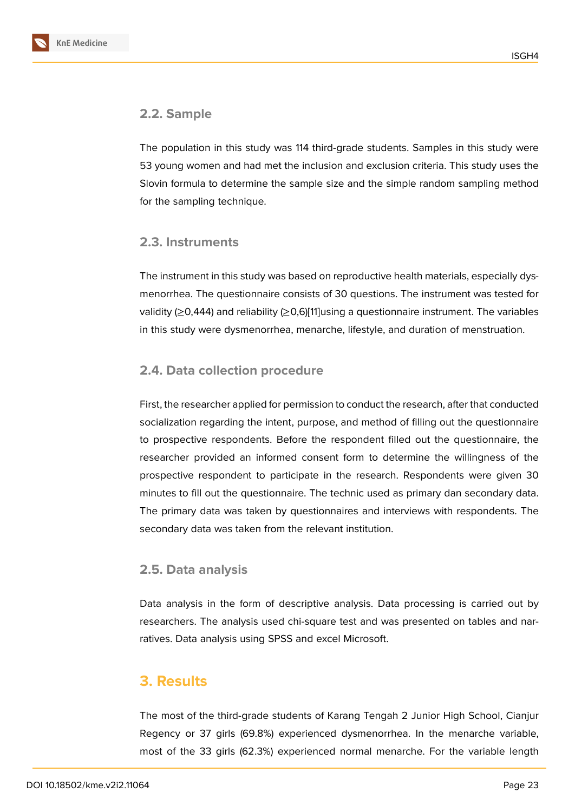## **2.2. Sample**

The population in this study was 114 third-grade students. Samples in this study were 53 young women and had met the inclusion and exclusion criteria. This study uses the Slovin formula to determine the sample size and the simple random sampling method for the sampling technique.

## **2.3. Instruments**

The instrument in this study was based on reproductive health materials, especially dysmenorrhea. The questionnaire consists of 30 questions. The instrument was tested for validity (≥0,444) and reliability (≥0,6)[11]using a questionnaire instrument. The variables in this study were dysmenorrhea, menarche, lifestyle, and duration of menstruation.

## **2.4. Data collection proced[ure](#page-7-7)**

First, the researcher applied for permission to conduct the research, after that conducted socialization regarding the intent, purpose, and method of filling out the questionnaire to prospective respondents. Before the respondent filled out the questionnaire, the researcher provided an informed consent form to determine the willingness of the prospective respondent to participate in the research. Respondents were given 30 minutes to fill out the questionnaire. The technic used as primary dan secondary data. The primary data was taken by questionnaires and interviews with respondents. The secondary data was taken from the relevant institution.

### **2.5. Data analysis**

Data analysis in the form of descriptive analysis. Data processing is carried out by researchers. The analysis used chi-square test and was presented on tables and narratives. Data analysis using SPSS and excel Microsoft.

## **3. Results**

The most of the third-grade students of Karang Tengah 2 Junior High School, Cianjur Regency or 37 girls (69.8%) experienced dysmenorrhea. In the menarche variable, most of the 33 girls (62.3%) experienced normal menarche. For the variable length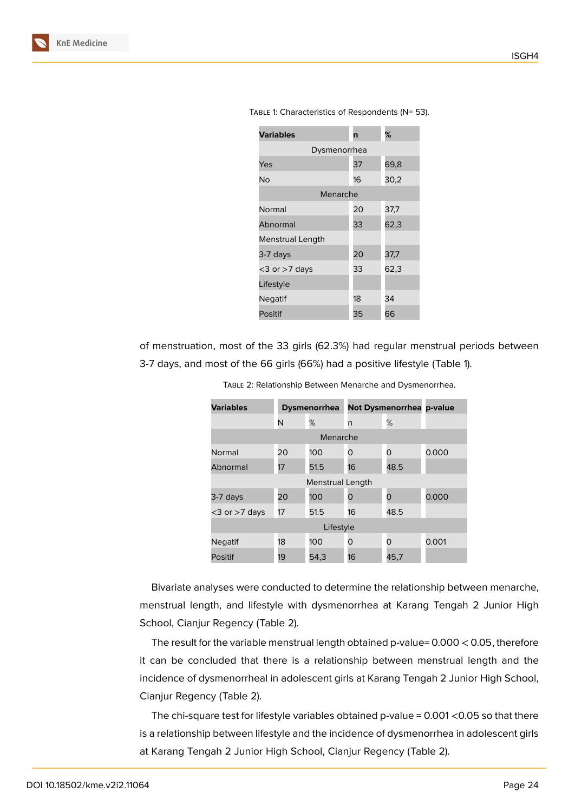

of menstruation, most of the 33 girls (62.3%) had regular menstrual periods between 3-7 days, and most of the 66 girls (66%) had a positive lifestyle (Table 1).

| <b>Variables</b>    | <b>Dysmenorrhea</b> |      | <b>Not Dysmenorrhea</b> |          | p-value |
|---------------------|---------------------|------|-------------------------|----------|---------|
|                     | N                   | %    | n                       | %        |         |
| Menarche            |                     |      |                         |          |         |
| Normal              | 20                  | 100  | 0                       | O        | 0.000   |
| Abnormal            | 17                  | 51.5 | 16                      | 48.5     |         |
| Menstrual Length    |                     |      |                         |          |         |
| 3-7 days            | 20                  | 100  | O                       | 0        | 0.000   |
| $<$ 3 or $>$ 7 days | 17                  | 51.5 | 16                      | 48.5     |         |
| Lifestyle           |                     |      |                         |          |         |
| Negatif             | 18                  | 100  | O                       | $\Omega$ | 0.001   |
| Positif             | 19                  | 54,3 | 16                      | 45,7     |         |

Table 2: Relationship Between Menarche and Dysmenorrhea.

Bivariate analyses were conducted to determine the relationship between menarche, menstrual length, and lifestyle with dysmenorrhea at Karang Tengah 2 Junior High School, Cianjur Regency (Table 2).

The result for the variable menstrual length obtained p-value= 0.000 < 0.05, therefore it can be concluded that there is a relationship between menstrual length and the incidence of dysmenorrheal in adolescent girls at Karang Tengah 2 Junior High School, Cianjur Regency (Table 2).

The chi-square test for lifestyle variables obtained p-value = 0.001 <0.05 so that there is a relationship between lifestyle and the incidence of dysmenorrhea in adolescent girls at Karang Tengah 2 Junior High School, Cianjur Regency (Table 2).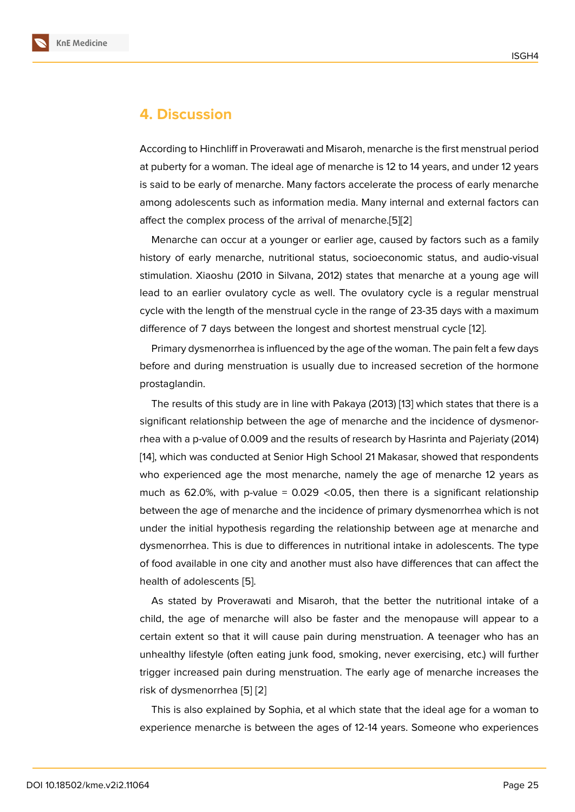## **4. Discussion**

According to Hinchliff in Proverawati and Misaroh, menarche is the first menstrual period at puberty for a woman. The ideal age of menarche is 12 to 14 years, and under 12 years is said to be early of menarche. Many factors accelerate the process of early menarche among adolescents such as information media. Many internal and external factors can affect the complex process of the arrival of menarche.[5][2]

Menarche can occur at a younger or earlier age, caused by factors such as a family history of early menarche, nutritional status, socioeconomic status, and audio-visual stimulation. Xiaoshu (2010 in Silvana, 2012) states tha[t](#page-7-3) [me](#page-7-8)narche at a young age will lead to an earlier ovulatory cycle as well. The ovulatory cycle is a regular menstrual cycle with the length of the menstrual cycle in the range of 23-35 days with a maximum difference of 7 days between the longest and shortest menstrual cycle [12].

Primary dysmenorrhea is influenced by the age of the woman. The pain felt a few days before and during menstruation is usually due to increased secretion of the hormone prostaglandin.

The results of this study are in line with Pakaya (2013) [13] which states that there is a significant relationship between the age of menarche and the incidence of dysmenorrhea with a p-value of 0.009 and the results of research by Hasrinta and Pajeriaty (2014) [14], which was conducted at Senior High School 21 Mak[asa](#page-7-9)r, showed that respondents who experienced age the most menarche, namely the age of menarche 12 years as much as 62.0%, with p-value =  $0.029$  <0.05, then there is a significant relationship [be](#page-8-0)tween the age of menarche and the incidence of primary dysmenorrhea which is not under the initial hypothesis regarding the relationship between age at menarche and dysmenorrhea. This is due to differences in nutritional intake in adolescents. The type of food available in one city and another must also have differences that can affect the health of adolescents [5].

As stated by Proverawati and Misaroh, that the better the nutritional intake of a child, the age of menarche will also be faster and the menopause will appear to a certain extent so that [it](#page-7-3) will cause pain during menstruation. A teenager who has an unhealthy lifestyle (often eating junk food, smoking, never exercising, etc.) will further trigger increased pain during menstruation. The early age of menarche increases the risk of dysmenorrhea [5] [2]

This is also explained by Sophia, et al which state that the ideal age for a woman to experience menarche is between the ages of 12-14 years. Someone who experiences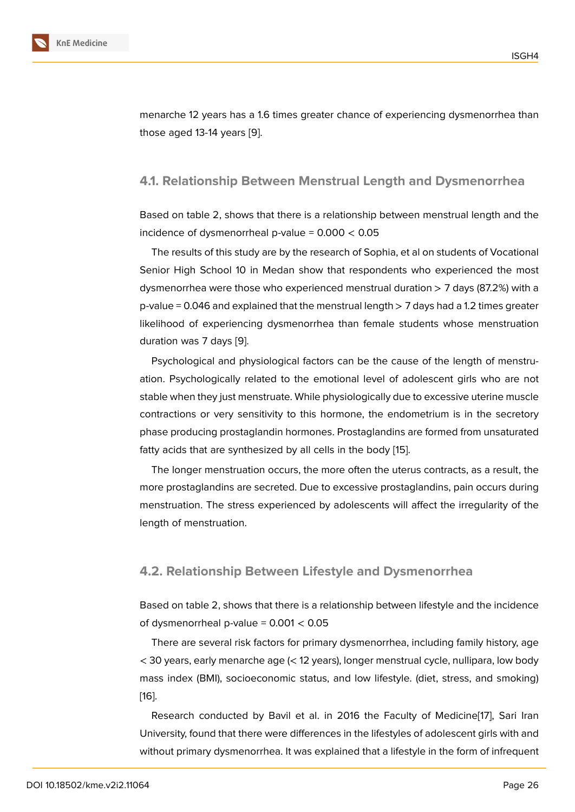menarche 12 years has a 1.6 times greater chance of experiencing dysmenorrhea than those aged 13-14 years [9].

#### **4.1. Relationship B[et](#page-7-6)ween Menstrual Length and Dysmenorrhea**

Based on table 2, shows that there is a relationship between menstrual length and the incidence of dysmenorrheal p-value =  $0.000 < 0.05$ 

The results of this study are by the research of Sophia, et al on students of Vocational Senior High School 10 in Medan show that respondents who experienced the most dysmenorrhea were those who experienced menstrual duration > 7 days (87.2%) with a  $p$ -value = 0.046 and explained that the menstrual length  $> 7$  days had a 1.2 times greater likelihood of experiencing dysmenorrhea than female students whose menstruation duration was 7 days [9].

Psychological and physiological factors can be the cause of the length of menstruation. Psychologically related to the emotional level of adolescent girls who are not stable when they just [m](#page-7-6)enstruate. While physiologically due to excessive uterine muscle contractions or very sensitivity to this hormone, the endometrium is in the secretory phase producing prostaglandin hormones. Prostaglandins are formed from unsaturated fatty acids that are synthesized by all cells in the body [15].

The longer menstruation occurs, the more often the uterus contracts, as a result, the more prostaglandins are secreted. Due to excessive prostaglandins, pain occurs during menstruation. The stress experienced by adolescents [wil](#page-8-1)l affect the irregularity of the length of menstruation.

#### **4.2. Relationship Between Lifestyle and Dysmenorrhea**

Based on table 2, shows that there is a relationship between lifestyle and the incidence of dysmenorrheal p-value =  $0.001 < 0.05$ 

There are several risk factors for primary dysmenorrhea, including family history, age < 30 years, early menarche age (< 12 years), longer menstrual cycle, nullipara, low body mass index (BMI), socioeconomic status, and low lifestyle. (diet, stress, and smoking) [16].

Research conducted by Bavil et al. in 2016 the Faculty of Medicine[17], Sari Iran University, found that there were differences in the lifestyles of adolescent girls with and [wit](#page-8-2)hout primary dysmenorrhea. It was explained that a lifestyle in the form of infrequent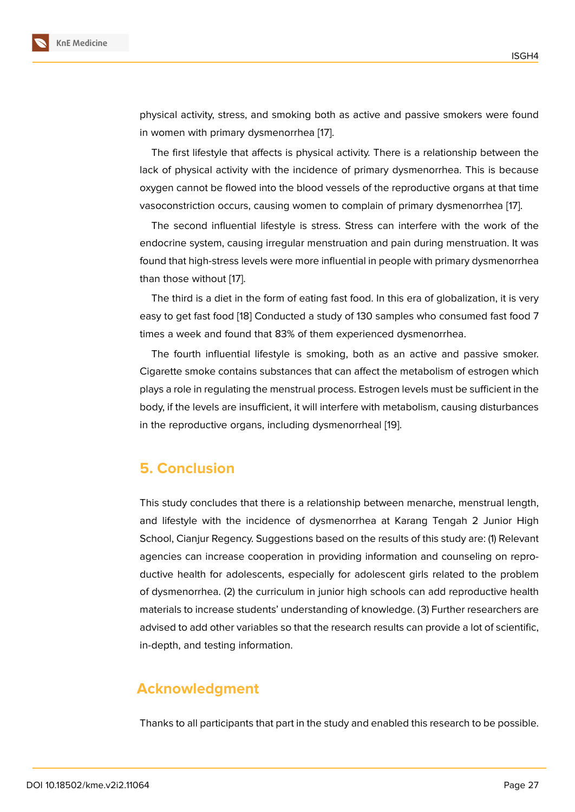physical activity, stress, and smoking both as active and passive smokers were found in women with primary dysmenorrhea [17].

The first lifestyle that affects is physical activity. There is a relationship between the lack of physical activity with the incidence of primary dysmenorrhea. This is because oxygen cannot be flowed into the bloo[d v](#page-8-3)essels of the reproductive organs at that time vasoconstriction occurs, causing women to complain of primary dysmenorrhea [17].

The second influential lifestyle is stress. Stress can interfere with the work of the endocrine system, causing irregular menstruation and pain during menstruation. It was found that high-stress levels were more influential in people with primary dysmen[orr](#page-8-3)hea than those without [17].

The third is a diet in the form of eating fast food. In this era of globalization, it is very easy to get fast food [18] Conducted a study of 130 samples who consumed fast food 7 times a week and f[oun](#page-8-3)d that 83% of them experienced dysmenorrhea.

The fourth influential lifestyle is smoking, both as an active and passive smoker. Cigarette smoke cont[ain](#page-8-4)s substances that can affect the metabolism of estrogen which plays a role in regulating the menstrual process. Estrogen levels must be sufficient in the body, if the levels are insufficient, it will interfere with metabolism, causing disturbances in the reproductive organs, including dysmenorrheal [19].

# **5. Conclusion**

This study concludes that there is a relationship between menarche, menstrual length, and lifestyle with the incidence of dysmenorrhea at Karang Tengah 2 Junior High School, Cianjur Regency. Suggestions based on the results of this study are: (1) Relevant agencies can increase cooperation in providing information and counseling on reproductive health for adolescents, especially for adolescent girls related to the problem of dysmenorrhea. (2) the curriculum in junior high schools can add reproductive health materials to increase students' understanding of knowledge. (3) Further researchers are advised to add other variables so that the research results can provide a lot of scientific, in-depth, and testing information.

## **Acknowledgment**

Thanks to all participants that part in the study and enabled this research to be possible.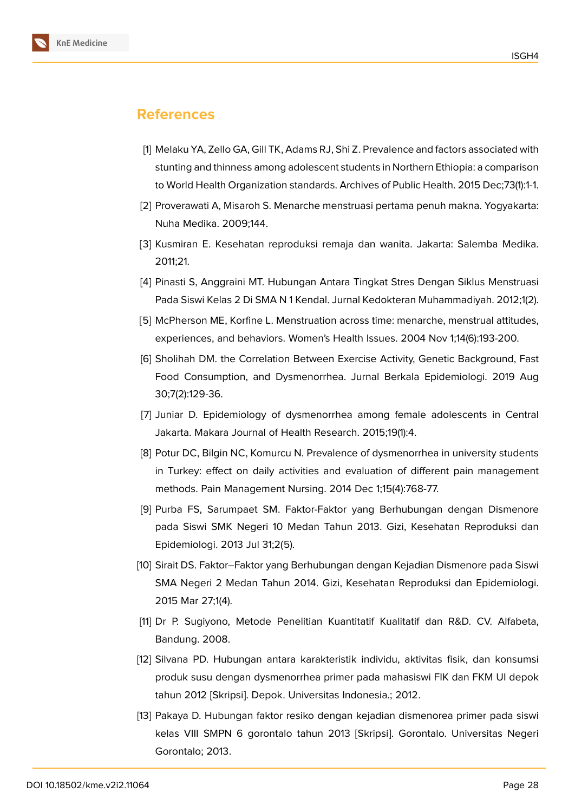

# **References**

- <span id="page-7-0"></span>[1] Melaku YA, Zello GA, Gill TK, Adams RJ, Shi Z. Prevalence and factors associated with stunting and thinness among adolescent students in Northern Ethiopia: a comparison to World Health Organization standards. Archives of Public Health. 2015 Dec;73(1):1-1.
- <span id="page-7-8"></span>[2] Proverawati A, Misaroh S. Menarche menstruasi pertama penuh makna. Yogyakarta: Nuha Medika. 2009;144.
- <span id="page-7-1"></span>[3] Kusmiran E. Kesehatan reproduksi remaja dan wanita. Jakarta: Salemba Medika. 2011;21.
- <span id="page-7-2"></span>[4] Pinasti S, Anggraini MT. Hubungan Antara Tingkat Stres Dengan Siklus Menstruasi Pada Siswi Kelas 2 Di SMA N 1 Kendal. Jurnal Kedokteran Muhammadiyah. 2012;1(2).
- <span id="page-7-3"></span>[5] McPherson ME, Korfine L. Menstruation across time: menarche, menstrual attitudes, experiences, and behaviors. Women's Health Issues. 2004 Nov 1;14(6):193-200.
- <span id="page-7-4"></span>[6] Sholihah DM. the Correlation Between Exercise Activity, Genetic Background, Fast Food Consumption, and Dysmenorrhea. Jurnal Berkala Epidemiologi. 2019 Aug 30;7(2):129-36.
- [7] Juniar D. Epidemiology of dysmenorrhea among female adolescents in Central Jakarta. Makara Journal of Health Research. 2015;19(1):4.
- <span id="page-7-5"></span>[8] Potur DC, Bilgin NC, Komurcu N. Prevalence of dysmenorrhea in university students in Turkey: effect on daily activities and evaluation of different pain management methods. Pain Management Nursing. 2014 Dec 1;15(4):768-77.
- <span id="page-7-6"></span>[9] Purba FS, Sarumpaet SM. Faktor-Faktor yang Berhubungan dengan Dismenore pada Siswi SMK Negeri 10 Medan Tahun 2013. Gizi, Kesehatan Reproduksi dan Epidemiologi. 2013 Jul 31;2(5).
- [10] Sirait DS. Faktor–Faktor yang Berhubungan dengan Kejadian Dismenore pada Siswi SMA Negeri 2 Medan Tahun 2014. Gizi, Kesehatan Reproduksi dan Epidemiologi. 2015 Mar 27;1(4).
- <span id="page-7-7"></span>[11] Dr P. Sugiyono, Metode Penelitian Kuantitatif Kualitatif dan R&D. CV. Alfabeta, Bandung. 2008.
- [12] Silvana PD. Hubungan antara karakteristik individu, aktivitas fisik, dan konsumsi produk susu dengan dysmenorrhea primer pada mahasiswi FIK dan FKM UI depok tahun 2012 [Skripsi]. Depok. Universitas Indonesia.; 2012.
- <span id="page-7-9"></span>[13] Pakaya D. Hubungan faktor resiko dengan kejadian dismenorea primer pada siswi kelas VIII SMPN 6 gorontalo tahun 2013 [Skripsi]. Gorontalo. Universitas Negeri Gorontalo; 2013.